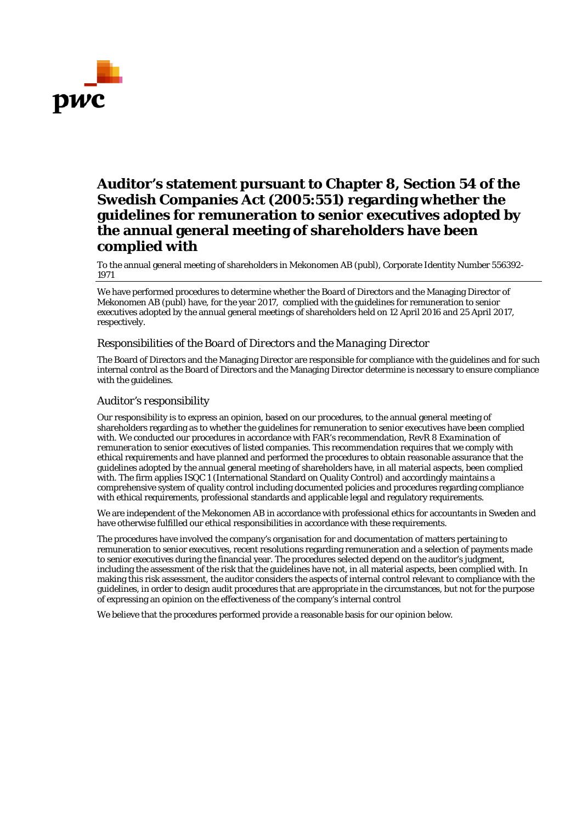

## **Auditor's statement pursuant to Chapter 8, Section 54 of the Swedish Companies Act (2005:551) regarding whether the guidelines for remuneration to senior executives adopted by the annual general meeting of shareholders have been complied with**

To the annual general meeting of shareholders in Mekonomen AB (publ), Corporate Identity Number 556392- 1971

We have performed procedures to determine whether the Board of Directors and the Managing Director of Mekonomen AB (publ) have, for the year 2017, complied with the guidelines for remuneration to senior executives adopted by the annual general meetings of shareholders held on 12 April 2016 and 25 April 2017, respectively.

## *Responsibilities of the Board of Directors and the Managing Director*

The Board of Directors and the Managing Director are responsible for compliance with the guidelines and for such internal control as the Board of Directors and the Managing Director determine is necessary to ensure compliance with the guidelines.

## *Auditor's responsibility*

Our responsibility is to express an opinion, based on our procedures, to the annual general meeting of shareholders regarding as to whether the guidelines for remuneration to senior executives have been complied with. We conducted our procedures in accordance with FAR's recommendation, RevR 8 *Examination of remuneration to senior executives of listed companies*. This recommendation requires that we comply with ethical requirements and have planned and performed the procedures to obtain reasonable assurance that the guidelines adopted by the annual general meeting of shareholders have, in all material aspects, been complied with. The firm applies ISQC 1 (International Standard on Quality Control) and accordingly maintains a comprehensive system of quality control including documented policies and procedures regarding compliance with ethical requirements, professional standards and applicable legal and regulatory requirements.

We are independent of the Mekonomen AB in accordance with professional ethics for accountants in Sweden and have otherwise fulfilled our ethical responsibilities in accordance with these requirements.

The procedures have involved the company's organisation for and documentation of matters pertaining to remuneration to senior executives, recent resolutions regarding remuneration and a selection of payments made to senior executives during the financial year. The procedures selected depend on the auditor's judgment, including the assessment of the risk that the guidelines have not, in all material aspects, been complied with. In making this risk assessment, the auditor considers the aspects of internal control relevant to compliance with the guidelines, in order to design audit procedures that are appropriate in the circumstances, but not for the purpose of expressing an opinion on the effectiveness of the company's internal control

We believe that the procedures performed provide a reasonable basis for our opinion below.